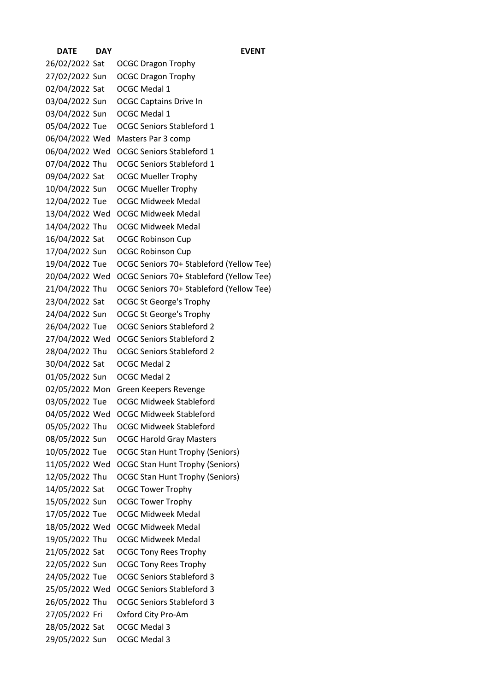**DATE DAY EVENT** 26/02/2022 Sat OCGC Dragon Trophy 27/02/2022 Sun OCGC Dragon Trophy 02/04/2022 Sat OCGC Medal 1 03/04/2022 Sun OCGC Captains Drive In 03/04/2022 Sun OCGC Medal 1 05/04/2022 Tue OCGC Seniors Stableford 1 06/04/2022 Wed Masters Par 3 comp 06/04/2022 Wed OCGC Seniors Stableford 1 07/04/2022 Thu OCGC Seniors Stableford 1 09/04/2022 Sat OCGC Mueller Trophy 10/04/2022 Sun OCGC Mueller Trophy 12/04/2022 Tue OCGC Midweek Medal 13/04/2022 Wed OCGC Midweek Medal 14/04/2022 Thu OCGC Midweek Medal 16/04/2022 Sat OCGC Robinson Cup 17/04/2022 Sun OCGC Robinson Cup 19/04/2022 Tue OCGC Seniors 70+ Stableford (Yellow Tee) 20/04/2022 Wed OCGC Seniors 70+ Stableford (Yellow Tee) 21/04/2022 Thu OCGC Seniors 70+ Stableford (Yellow Tee) 23/04/2022 Sat OCGC St George's Trophy 24/04/2022 Sun OCGC St George's Trophy 26/04/2022 Tue OCGC Seniors Stableford 2 27/04/2022 Wed OCGC Seniors Stableford 2 28/04/2022 Thu OCGC Seniors Stableford 2 30/04/2022 Sat OCGC Medal 2 01/05/2022 Sun OCGC Medal 2 02/05/2022 Mon Green Keepers Revenge 03/05/2022 Tue OCGC Midweek Stableford 04/05/2022 Wed OCGC Midweek Stableford 05/05/2022 Thu OCGC Midweek Stableford 08/05/2022 Sun OCGC Harold Gray Masters 10/05/2022 Tue OCGC Stan Hunt Trophy (Seniors) 11/05/2022 Wed OCGC Stan Hunt Trophy (Seniors) 12/05/2022 Thu OCGC Stan Hunt Trophy (Seniors) 14/05/2022 Sat OCGC Tower Trophy 15/05/2022 Sun OCGC Tower Trophy 17/05/2022 Tue OCGC Midweek Medal 18/05/2022 Wed OCGC Midweek Medal 19/05/2022 Thu OCGC Midweek Medal 21/05/2022 Sat OCGC Tony Rees Trophy 22/05/2022 Sun OCGC Tony Rees Trophy 24/05/2022 Tue OCGC Seniors Stableford 3 25/05/2022 Wed OCGC Seniors Stableford 3 26/05/2022 Thu OCGC Seniors Stableford 3 27/05/2022 Fri Oxford City Pro-Am 28/05/2022 Sat OCGC Medal 3 29/05/2022 Sun OCGC Medal 3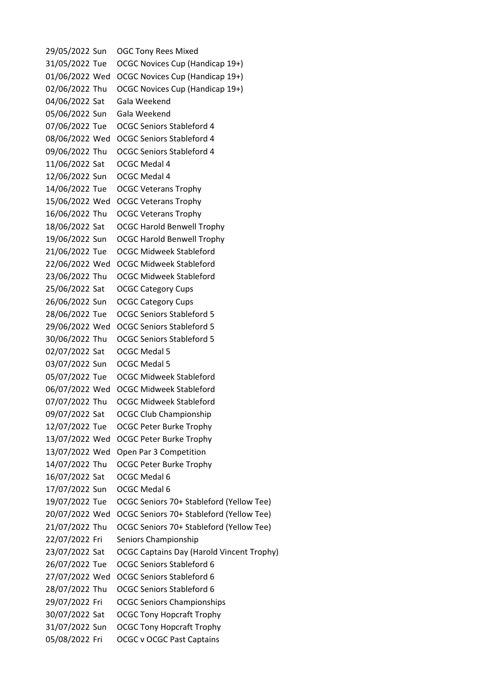29/05/2022 Sun OGC Tony Rees Mixed 31/05/2022 Tue OCGC Novices Cup (Handicap 19+) 01/06/2022 Wed OCGC Novices Cup (Handicap 19+) 02/06/2022 Thu OCGC Novices Cup (Handicap 19+) 04/06/2022 Sat Gala Weekend 05/06/2022 Sun Gala Weekend 07/06/2022 Tue OCGC Seniors Stableford 4 08/06/2022 Wed OCGC Seniors Stableford 4 09/06/2022 Thu OCGC Seniors Stableford 4 11/06/2022 Sat OCGC Medal 4 12/06/2022 Sun OCGC Medal 4 14/06/2022 Tue OCGC Veterans Trophy 15/06/2022 Wed OCGC Veterans Trophy 16/06/2022 Thu OCGC Veterans Trophy 18/06/2022 Sat OCGC Harold Benwell Trophy 19/06/2022 Sun OCGC Harold Benwell Trophy 21/06/2022 Tue OCGC Midweek Stableford 22/06/2022 Wed OCGC Midweek Stableford 23/06/2022 Thu OCGC Midweek Stableford 25/06/2022 Sat OCGC Category Cups 26/06/2022 Sun OCGC Category Cups 28/06/2022 Tue OCGC Seniors Stableford 5 29/06/2022 Wed OCGC Seniors Stableford 5 30/06/2022 Thu OCGC Seniors Stableford 5 02/07/2022 Sat OCGC Medal 5 03/07/2022 Sun OCGC Medal 5 05/07/2022 Tue OCGC Midweek Stableford 06/07/2022 Wed OCGC Midweek Stableford 07/07/2022 Thu OCGC Midweek Stableford 09/07/2022 Sat OCGC Club Championship 12/07/2022 Tue OCGC Peter Burke Trophy 13/07/2022 Wed OCGC Peter Burke Trophy 13/07/2022 Wed Open Par 3 Competition 14/07/2022 Thu OCGC Peter Burke Trophy 16/07/2022 Sat OCGC Medal 6 17/07/2022 Sun OCGC Medal 6 19/07/2022 Tue OCGC Seniors 70+ Stableford (Yellow Tee) 20/07/2022 Wed OCGC Seniors 70+ Stableford (Yellow Tee) 21/07/2022 Thu OCGC Seniors 70+ Stableford (Yellow Tee) 22/07/2022 Fri Seniors Championship 23/07/2022 Sat OCGC Captains Day (Harold Vincent Trophy) 26/07/2022 Tue OCGC Seniors Stableford 6 27/07/2022 Wed OCGC Seniors Stableford 6 28/07/2022 Thu OCGC Seniors Stableford 6 29/07/2022 Fri OCGC Seniors Championships 30/07/2022 Sat OCGC Tony Hopcraft Trophy 31/07/2022 Sun OCGC Tony Hopcraft Trophy 05/08/2022 Fri OCGC v OCGC Past Captains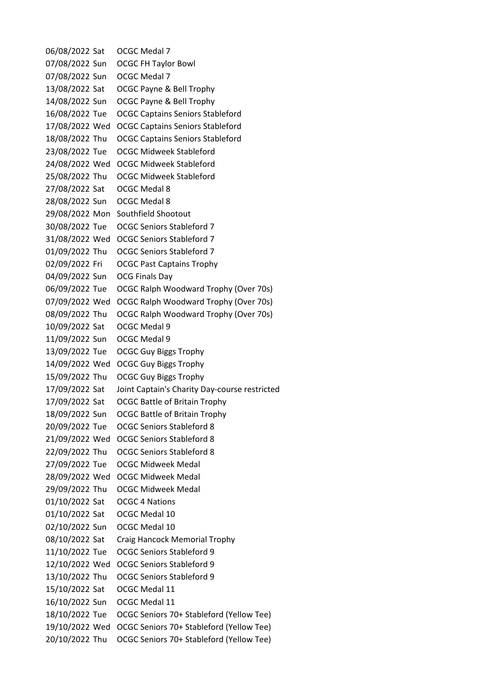06/08/2022 Sat OCGC Medal 7 07/08/2022 Sun OCGC FH Taylor Bowl 07/08/2022 Sun OCGC Medal 7 13/08/2022 Sat OCGC Payne & Bell Trophy 14/08/2022 Sun OCGC Payne & Bell Trophy 16/08/2022 Tue OCGC Captains Seniors Stableford 17/08/2022 Wed OCGC Captains Seniors Stableford 18/08/2022 Thu OCGC Captains Seniors Stableford 23/08/2022 Tue OCGC Midweek Stableford 24/08/2022 Wed OCGC Midweek Stableford 25/08/2022 Thu OCGC Midweek Stableford 27/08/2022 Sat OCGC Medal 8 28/08/2022 Sun OCGC Medal 8 29/08/2022 Mon Southfield Shootout 30/08/2022 Tue OCGC Seniors Stableford 7 31/08/2022 Wed OCGC Seniors Stableford 7 01/09/2022 Thu OCGC Seniors Stableford 7 02/09/2022 Fri OCGC Past Captains Trophy 04/09/2022 Sun OCG Finals Day 06/09/2022 Tue OCGC Ralph Woodward Trophy (Over 70s) 07/09/2022 Wed OCGC Ralph Woodward Trophy (Over 70s) 08/09/2022 Thu OCGC Ralph Woodward Trophy (Over 70s) 10/09/2022 Sat OCGC Medal 9 11/09/2022 Sun OCGC Medal 9 13/09/2022 Tue OCGC Guy Biggs Trophy 14/09/2022 Wed OCGC Guy Biggs Trophy 15/09/2022 Thu OCGC Guy Biggs Trophy 17/09/2022 Sat Joint Captain's Charity Day-course restricted 17/09/2022 Sat OCGC Battle of Britain Trophy 18/09/2022 Sun OCGC Battle of Britain Trophy 20/09/2022 Tue OCGC Seniors Stableford 8 21/09/2022 Wed OCGC Seniors Stableford 8 22/09/2022 Thu OCGC Seniors Stableford 8 27/09/2022 Tue OCGC Midweek Medal 28/09/2022 Wed OCGC Midweek Medal 29/09/2022 Thu OCGC Midweek Medal 01/10/2022 Sat OCGC 4 Nations 01/10/2022 Sat OCGC Medal 10 02/10/2022 Sun OCGC Medal 10 08/10/2022 Sat Craig Hancock Memorial Trophy 11/10/2022 Tue OCGC Seniors Stableford 9 12/10/2022 Wed OCGC Seniors Stableford 9 13/10/2022 Thu OCGC Seniors Stableford 9 15/10/2022 Sat OCGC Medal 11 16/10/2022 Sun OCGC Medal 11 18/10/2022 Tue OCGC Seniors 70+ Stableford (Yellow Tee) 19/10/2022 Wed OCGC Seniors 70+ Stableford (Yellow Tee) 20/10/2022 Thu OCGC Seniors 70+ Stableford (Yellow Tee)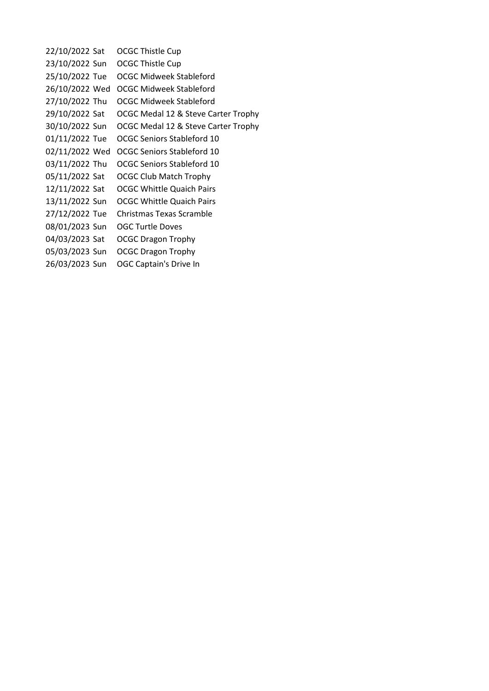22/10/2022 Sat OCGC Thistle Cup 23/10/2022 Sun OCGC Thistle Cup 25/10/2022 Tue OCGC Midweek Stableford 26/10/2022 Wed OCGC Midweek Stableford 27/10/2022 Thu OCGC Midweek Stableford 29/10/2022 Sat OCGC Medal 12 & Steve Carter Trophy 30/10/2022 Sun OCGC Medal 12 & Steve Carter Trophy 01/11/2022 Tue OCGC Seniors Stableford 10 02/11/2022 Wed OCGC Seniors Stableford 10 03/11/2022 Thu OCGC Seniors Stableford 10 05/11/2022 Sat OCGC Club Match Trophy 12/11/2022 Sat OCGC Whittle Quaich Pairs 13/11/2022 Sun OCGC Whittle Quaich Pairs 27/12/2022 Tue Christmas Texas Scramble 08/01/2023 Sun OGC Turtle Doves 04/03/2023 Sat OCGC Dragon Trophy 05/03/2023 Sun OCGC Dragon Trophy 26/03/2023 Sun OGC Captain's Drive In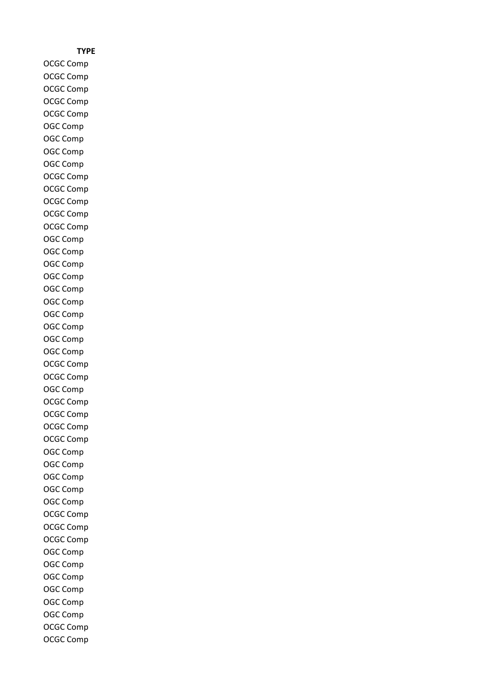## **TYPE**

OCGC Comp OCGC Comp OCGC Comp OCGC Comp OCGC Comp OGC Comp OGC Comp OGC Comp OGC Comp OCGC Comp OCGC Comp OCGC Comp OCGC Comp OCGC Comp OGC Comp OGC Comp OGC Comp OGC Comp OGC Comp OGC Comp OGC Comp OGC Comp OGC Comp OGC Comp OCGC Comp OCGC Comp OGC Comp OCGC Comp OCGC Comp OCGC Comp OCGC Comp OGC Comp OGC Comp OGC Comp OGC Comp OGC Comp OCGC Comp OCGC Comp OCGC Comp OGC Comp OGC Comp OGC Comp OGC Comp OGC Comp OGC Comp OCGC Comp OCGC Comp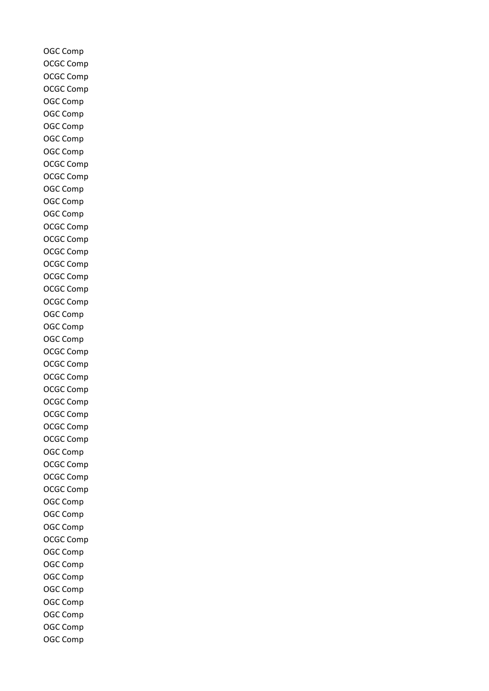OGC Comp OCGC Comp OCGC Comp OCGC Comp OGC Comp OGC Comp OGC Comp OGC Comp OGC Comp OCGC Comp OCGC Comp OGC Comp OGC Comp OGC Comp OCGC Comp OCGC Comp OCGC Comp OCGC Comp OCGC Comp OCGC Comp OCGC Comp OGC Comp OGC Comp OGC Comp OCGC Comp OCGC Comp OCGC Comp OCGC Comp OCGC Comp OCGC Comp OCGC Comp OCGC Comp OGC Comp OCGC Comp OCGC Comp OCGC Comp OGC Comp OGC Comp OGC Comp OCGC Comp OGC Comp OGC Comp OGC Comp OGC Comp OGC Comp OGC Comp OGC Comp OGC Comp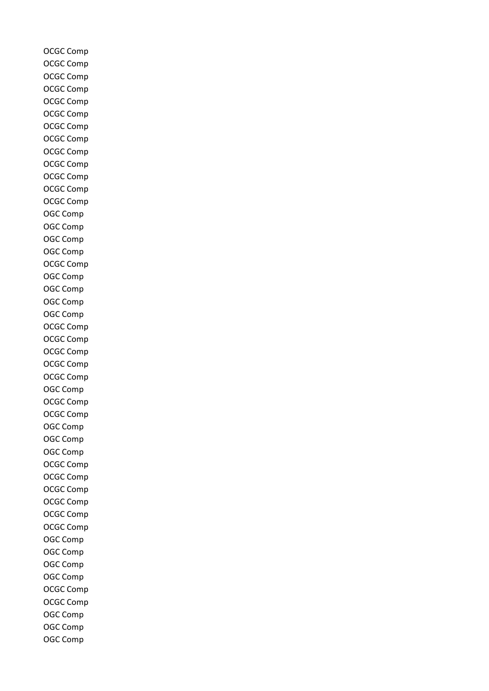OCGC Comp OCGC Comp OCGC Comp OCGC Comp OCGC Comp OCGC Comp OCGC Comp OCGC Comp OCGC Comp OCGC Comp OCGC Comp OCGC Comp OCGC Comp OGC Comp OGC Comp OGC Comp OGC Comp OCGC Comp OGC Comp OGC Comp OGC Comp OGC Comp OCGC Comp OCGC Comp OCGC Comp OCGC Comp OCGC Comp OGC Comp OCGC Comp OCGC Comp OGC Comp OGC Comp OGC Comp OCGC Comp OCGC Comp OCGC Comp OCGC Comp OCGC Comp OCGC Comp OGC Comp OGC Comp OGC Comp OGC Comp OCGC Comp OCGC Comp OGC Comp OGC Comp OGC Comp